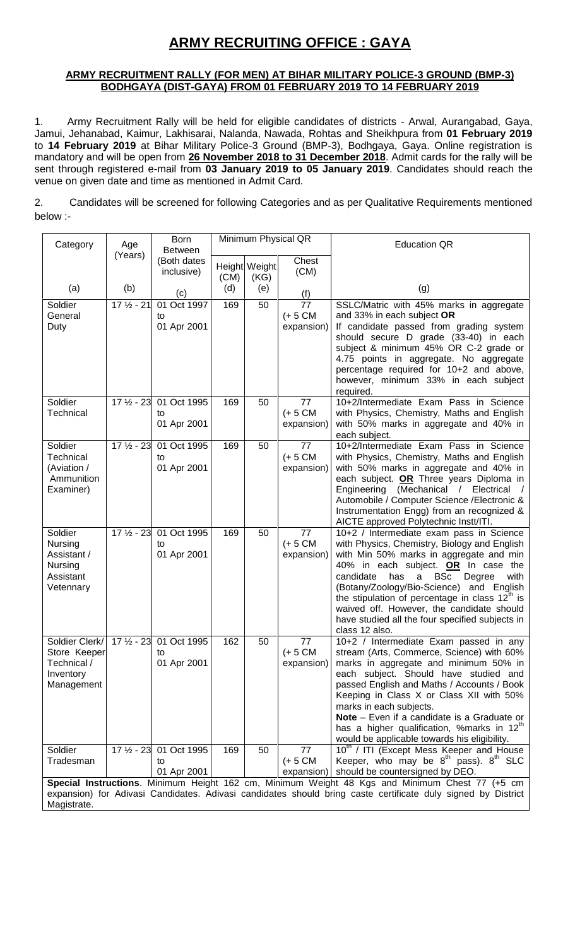# **ARMY RECRUITING OFFICE : GAYA**

## **ARMY RECRUITMENT RALLY (FOR MEN) AT BIHAR MILITARY POLICE-3 GROUND (BMP-3) BODHGAYA (DIST-GAYA) FROM 01 FEBRUARY 2019 TO 14 FEBRUARY 2019**

1. Army Recruitment Rally will be held for eligible candidates of districts - Arwal, Aurangabad, Gaya, Jamui, Jehanabad, Kaimur, Lakhisarai, Nalanda, Nawada, Rohtas and Sheikhpura from **01 February 2019** to **14 February 2019** at Bihar Military Police-3 Ground (BMP-3), Bodhgaya, Gaya. Online registration is mandatory and will be open from **26 November 2018 to 31 December 2018**. Admit cards for the rally will be sent through registered e-mail from **03 January 2019 to 05 January 2019**. Candidates should reach the venue on given date and time as mentioned in Admit Card.

2. Candidates will be screened for following Categories and as per Qualitative Requirements mentioned below :-

| Category                                                                 | Age          |                                              |      |                       |                                | <b>Education QR</b>                                                                                                                                                                                                                                                                                                                                                                                                                                   |
|--------------------------------------------------------------------------|--------------|----------------------------------------------|------|-----------------------|--------------------------------|-------------------------------------------------------------------------------------------------------------------------------------------------------------------------------------------------------------------------------------------------------------------------------------------------------------------------------------------------------------------------------------------------------------------------------------------------------|
|                                                                          | (Years)      | <b>Between</b><br>(Both dates                |      |                       | Chest                          |                                                                                                                                                                                                                                                                                                                                                                                                                                                       |
|                                                                          |              | inclusive)                                   | (CM) | Height Weight<br>(KG) | (CM)                           |                                                                                                                                                                                                                                                                                                                                                                                                                                                       |
| (a)                                                                      | (b)          | (c)                                          | (d)  | (e)                   | (f)                            | (g)                                                                                                                                                                                                                                                                                                                                                                                                                                                   |
| Soldier<br>General<br>Duty                                               | $171/2 - 21$ | 01 Oct 1997<br>to<br>01 Apr 2001             | 169  | 50                    | 77<br>$(+ 5 CM)$<br>expansion) | SSLC/Matric with 45% marks in aggregate<br>and 33% in each subject OR<br>If candidate passed from grading system<br>should secure D grade (33-40) in each<br>subject & minimum 45% OR C-2 grade or<br>4.75 points in aggregate. No aggregate<br>percentage required for 10+2 and above,<br>however, minimum 33% in each subject<br>required.                                                                                                          |
| Soldier<br>Technical                                                     |              | 17 1/2 - 23 01 Oct 1995<br>to<br>01 Apr 2001 | 169  | 50                    | 77<br>$(+ 5 CM)$<br>expansion) | 10+2/Intermediate Exam Pass in Science<br>with Physics, Chemistry, Maths and English<br>with 50% marks in aggregate and 40% in<br>each subject.                                                                                                                                                                                                                                                                                                       |
| Soldier<br>Technical<br>(Aviation /<br>Ammunition<br>Examiner)           | $171/2 - 23$ | 01 Oct 1995<br>to<br>01 Apr 2001             | 169  | 50                    | 77<br>$(+ 5 CM)$<br>expansion) | 10+2/Intermediate Exam Pass in Science<br>with Physics, Chemistry, Maths and English<br>with 50% marks in aggregate and 40% in<br>each subject. OR Three years Diploma in<br>Engineering (Mechanical / Electrical<br>Automobile / Computer Science / Electronic &<br>Instrumentation Engg) from an recognized &<br>AICTE approved Polytechnic Instt/ITI.                                                                                              |
| Soldier<br>Nursing<br>Assistant /<br>Nursing<br>Assistant<br>Vetennary   | $171/2 - 23$ | 01 Oct 1995<br>to<br>01 Apr 2001             | 169  | 50                    | 77<br>$(+ 5 CM)$<br>expansion) | 10+2 / Intermediate exam pass in Science<br>with Physics, Chemistry, Biology and English<br>with Min 50% marks in aggregate and min<br>40% in each subject. OR In case the<br>candidate<br>a BSc<br>has<br>Degree<br>with<br>(Botany/Zoology/Bio-Science) and English<br>the stipulation of percentage in class $12^{\text{th}}$ is<br>waived off. However, the candidate should<br>have studied all the four specified subjects in<br>class 12 also. |
| Soldier Clerk/<br>Store Keeper<br>Technical /<br>Inventory<br>Management |              | 17 1/2 - 23 01 Oct 1995<br>to<br>01 Apr 2001 | 162  | 50                    | 77<br>$(+ 5 CM)$<br>expansion) | 10+2 / Intermediate Exam passed in any<br>stream (Arts, Commerce, Science) with 60%<br>marks in aggregate and minimum 50% in<br>each subject. Should have studied and<br>passed English and Maths / Accounts / Book<br>Keeping in Class X or Class XII with 50%<br>marks in each subjects.<br>Note - Even if a candidate is a Graduate or<br>has a higher qualification, %marks in 12 <sup>th</sup><br>would be applicable towards his eligibility.   |
| Soldier<br>Tradesman                                                     |              | 17 1/2 - 23 01 Oct 1995<br>to<br>01 Apr 2001 | 169  | 50                    | 77<br>$(+ 5 CM)$<br>expansion) | 10 <sup>th</sup> / ITI (Except Mess Keeper and House<br>Keeper, who may be $8^{th}$ pass). $8^{th}$ SLC<br>should be countersigned by DEO.                                                                                                                                                                                                                                                                                                            |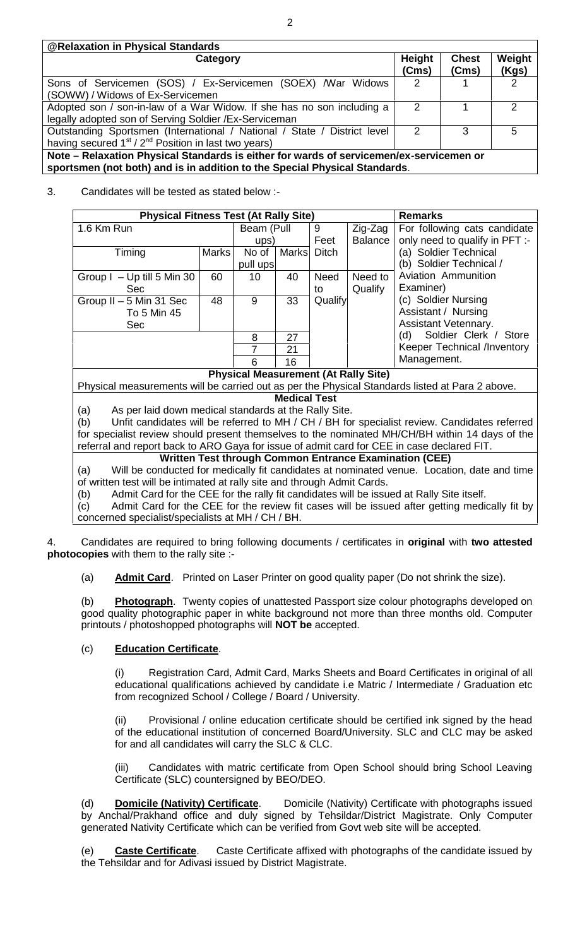| <b>@Relaxation in Physical Standards</b>                                                                                                                 |                 |                       |                 |  |
|----------------------------------------------------------------------------------------------------------------------------------------------------------|-----------------|-----------------------|-----------------|--|
| Category                                                                                                                                                 | Height<br>(Cms) | <b>Chest</b><br>(Cms) | Weight<br>(Kgs) |  |
| Sons of Servicemen (SOS) / Ex-Servicemen (SOEX) / War Widows<br>(SOWW) / Widows of Ex-Servicemen                                                         | 2               |                       | $\mathcal{P}$   |  |
| Adopted son / son-in-law of a War Widow. If she has no son including a<br>legally adopted son of Serving Soldier / Ex-Serviceman                         | $\mathcal{P}$   |                       | 2               |  |
| Outstanding Sportsmen (International / National / State / District level<br>having secured 1 <sup>st</sup> / 2 <sup>nd</sup> Position in last two years) | 2               | 3                     | 5               |  |
| Note - Relaxation Physical Standards is either for wards of servicemen/ex-servicemen or                                                                  |                 |                       |                 |  |
| sportsmen (not both) and is in addition to the Special Physical Standards.                                                                               |                 |                       |                 |  |

## 3. Candidates will be tested as stated below :-

| <b>Physical Fitness Test (At Rally Site)</b><br><b>Remarks</b>                                    |            |          |                     |              |                                             |                                                                                                 |  |
|---------------------------------------------------------------------------------------------------|------------|----------|---------------------|--------------|---------------------------------------------|-------------------------------------------------------------------------------------------------|--|
| 1.6 Km Run                                                                                        | Beam (Pull |          | 9                   | Zig-Zag      | For following cats candidate                |                                                                                                 |  |
|                                                                                                   |            | ups)     |                     | Feet         | Balance                                     | only need to qualify in PFT :-                                                                  |  |
| Timing                                                                                            | Marks      | No of    | <b>Marks</b>        | <b>Ditch</b> |                                             | (a) Soldier Technical                                                                           |  |
|                                                                                                   |            | pull ups |                     |              |                                             | (b) Soldier Technical /                                                                         |  |
| Group I - Up till 5 Min 30                                                                        | 60         | 10       | 40                  | Need         | Need to                                     | Aviation Ammunition                                                                             |  |
| <b>Sec</b>                                                                                        |            |          |                     | to           | Qualify                                     | Examiner)                                                                                       |  |
| Group II - 5 Min 31 Sec                                                                           | 48         | 9        | 33                  | Qualify      |                                             | (c) Soldier Nursing                                                                             |  |
| To 5 Min 45                                                                                       |            |          |                     |              |                                             | Assistant / Nursing                                                                             |  |
| Sec                                                                                               |            |          |                     |              |                                             | Assistant Vetennary.                                                                            |  |
|                                                                                                   |            | 8        | 27                  |              |                                             | Soldier Clerk / Store<br>(d)                                                                    |  |
|                                                                                                   |            | 7        | 21                  |              |                                             | Keeper Technical /Inventory                                                                     |  |
|                                                                                                   |            | 6        | 16                  |              |                                             | Management.                                                                                     |  |
|                                                                                                   |            |          |                     |              | <b>Physical Measurement (At Rally Site)</b> |                                                                                                 |  |
|                                                                                                   |            |          |                     |              |                                             | Physical measurements will be carried out as per the Physical Standards listed at Para 2 above. |  |
|                                                                                                   |            |          | <b>Medical Test</b> |              |                                             |                                                                                                 |  |
| As per laid down medical standards at the Rally Site.<br>(a)                                      |            |          |                     |              |                                             |                                                                                                 |  |
| (b)                                                                                               |            |          |                     |              |                                             | Unfit candidates will be referred to MH / CH / BH for specialist review. Candidates referred    |  |
| for specialist review should present themselves to the nominated MH/CH/BH within 14 days of the   |            |          |                     |              |                                             |                                                                                                 |  |
| referral and report back to ARO Gaya for issue of admit card for CEE in case declared FIT.        |            |          |                     |              |                                             |                                                                                                 |  |
|                                                                                                   |            |          |                     |              |                                             | <b>Written Test through Common Entrance Examination (CEE)</b>                                   |  |
| Will be conducted for medically fit candidates at nominated venue. Location, date and time<br>(a) |            |          |                     |              |                                             |                                                                                                 |  |
| of written test will be intimated at rally site and through Admit Cards.                          |            |          |                     |              |                                             |                                                                                                 |  |

(b) Admit Card for the CEE for the rally fit candidates will be issued at Rally Site itself.

(c) Admit Card for the CEE for the review fit cases will be issued after getting medically fit by concerned specialist/specialists at MH / CH / BH.

4. Candidates are required to bring following documents / certificates in **original** with **two attested photocopies** with them to the rally site :-

(a) **Admit Card**. Printed on Laser Printer on good quality paper (Do not shrink the size).

(b) **Photograph**. Twenty copies of unattested Passport size colour photographs developed on good quality photographic paper in white background not more than three months old. Computer printouts / photoshopped photographs will **NOT be** accepted.

## (c) **Education Certificate**.

(i) Registration Card, Admit Card, Marks Sheets and Board Certificates in original of all educational qualifications achieved by candidate i.e Matric / Intermediate / Graduation etc from recognized School / College / Board / University.

(ii) Provisional / online education certificate should be certified ink signed by the head of the educational institution of concerned Board/University. SLC and CLC may be asked for and all candidates will carry the SLC & CLC.

(iii) Candidates with matric certificate from Open School should bring School Leaving Certificate (SLC) countersigned by BEO/DEO.

(d) **Domicile (Nativity) Certificate**. Domicile (Nativity) Certificate with photographs issued by Anchal/Prakhand office and duly signed by Tehsildar/District Magistrate. Only Computer generated Nativity Certificate which can be verified from Govt web site will be accepted.

(e) **Caste Certificate**. Caste Certificate affixed with photographs of the candidate issued by the Tehsildar and for Adivasi issued by District Magistrate.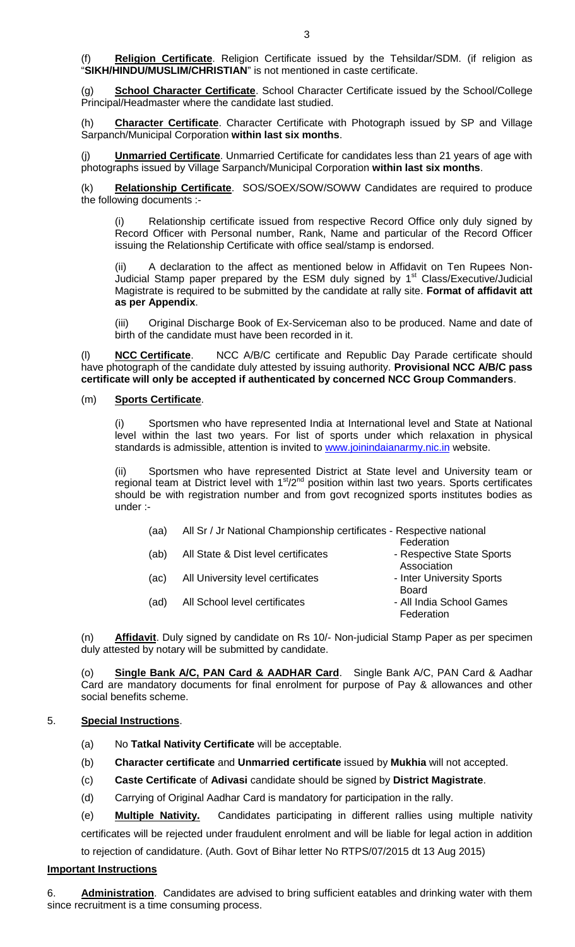(f) **Religion Certificate**. Religion Certificate issued by the Tehsildar/SDM. (if religion as "**SIKH/HINDU/MUSLIM/CHRISTIAN**" is not mentioned in caste certificate.

(g) **School Character Certificate**. School Character Certificate issued by the School/College Principal/Headmaster where the candidate last studied.

(h) **Character Certificate**. Character Certificate with Photograph issued by SP and Village Sarpanch/Municipal Corporation **within last six months**.

(j) **Unmarried Certificate**. Unmarried Certificate for candidates less than 21 years of age with photographs issued by Village Sarpanch/Municipal Corporation **within last six months**.

(k) **Relationship Certificate**. SOS/SOEX/SOW/SOWW Candidates are required to produce the following documents :-

Relationship certificate issued from respective Record Office only duly signed by Record Officer with Personal number, Rank, Name and particular of the Record Officer issuing the Relationship Certificate with office seal/stamp is endorsed.

(ii) A declaration to the affect as mentioned below in Affidavit on Ten Rupees Non- Judicial Stamp paper prepared by the ESM duly signed by 1<sup>st</sup> Class/Executive/Judicial Magistrate is required to be submitted by the candidate at rally site. **Format of affidavit att as per Appendix**.

(iii) Original Discharge Book of Ex-Serviceman also to be produced. Name and date of birth of the candidate must have been recorded in it.

(l) **NCC Certificate**. NCC A/B/C certificate and Republic Day Parade certificate should have photograph of the candidate duly attested by issuing authority. **Provisional NCC A/B/C pass certificate will only be accepted if authenticated by concerned NCC Group Commanders**.

### (m) **Sports Certificate**.

(i) Sportsmen who have represented India at International level and State at National level within the last two years. For list of sports under which relaxation in physical standards is admissible, attention is invited to www.joinindaianarmy.nic.in website.

(ii) Sportsmen who have represented District at State level and University team or regional team at District level with  $1<sup>st</sup>/2<sup>nd</sup>$  position within last two years. Sports certificates should be with registration number and from govt recognized sports institutes bodies as under :-

| (aa) | All Sr / Jr National Championship certificates - Respective national |                           |
|------|----------------------------------------------------------------------|---------------------------|
|      |                                                                      | Federation                |
| (ab) | All State & Dist level certificates                                  | - Respective State Sports |
|      |                                                                      | Association               |
| (ac) | All University level certificates                                    | - Inter University Sports |
|      |                                                                      | <b>Board</b>              |
| (ad) | All School level certificates                                        | - All India School Games  |
|      |                                                                      | Federation                |

(n) **Affidavit**. Duly signed by candidate on Rs 10/- Non-judicial Stamp Paper as per specimen duly attested by notary will be submitted by candidate.

(o) **Single Bank A/C, PAN Card & AADHAR Card**. Single Bank A/C, PAN Card & Aadhar Card are mandatory documents for final enrolment for purpose of Pay & allowances and other social benefits scheme.

## 5. **Special Instructions**.

- (a) No **Tatkal Nativity Certificate** will be acceptable.
- (b) **Character certificate** and **Unmarried certificate** issued by **Mukhia** will not accepted.
- (c) **Caste Certificate** of **Adivasi** candidate should be signed by **District Magistrate**.
- (d) Carrying of Original Aadhar Card is mandatory for participation in the rally.

(e) **Multiple Nativity.** Candidates participating in different rallies using multiple nativity certificates will be rejected under fraudulent enrolment and will be liable for legal action in addition to rejection of candidature. (Auth. Govt of Bihar letter No RTPS/07/2015 dt 13 Aug 2015)

## **Important Instructions**

6. **Administration**. Candidates are advised to bring sufficient eatables and drinking water with them since recruitment is a time consuming process.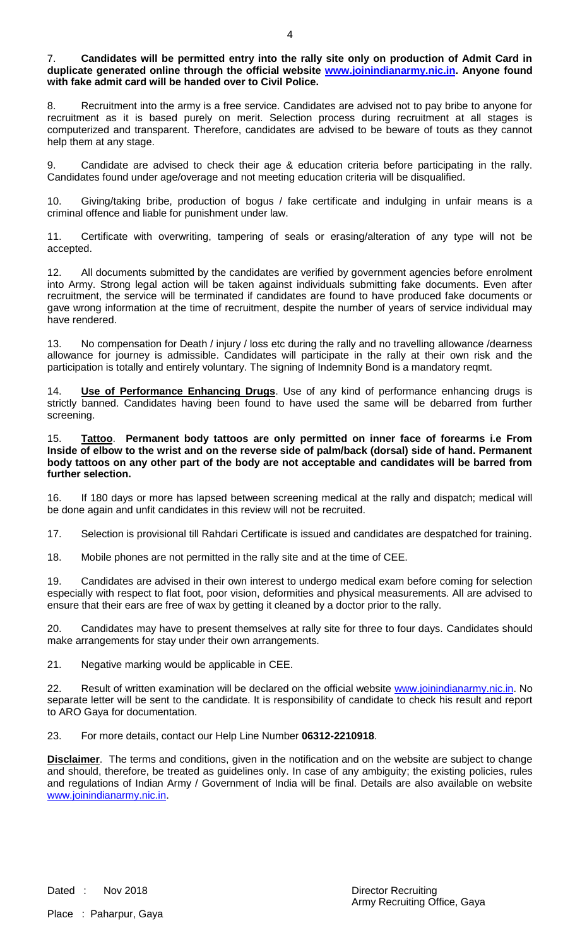7. **Candidates will be permitted entry into the rally site only on production of Admit Card in duplicate generated online through the official website www.joinindianarmy.nic.in. Anyone found with fake admit card will be handed over to Civil Police.**

8. Recruitment into the army is a free service. Candidates are advised not to pay bribe to anyone for recruitment as it is based purely on merit. Selection process during recruitment at all stages is computerized and transparent. Therefore, candidates are advised to be beware of touts as they cannot help them at any stage.

9. Candidate are advised to check their age & education criteria before participating in the rally. Candidates found under age/overage and not meeting education criteria will be disqualified.

10. Giving/taking bribe, production of bogus / fake certificate and indulging in unfair means is a criminal offence and liable for punishment under law.

11. Certificate with overwriting, tampering of seals or erasing/alteration of any type will not be accepted.

12. All documents submitted by the candidates are verified by government agencies before enrolment into Army. Strong legal action will be taken against individuals submitting fake documents. Even after recruitment, the service will be terminated if candidates are found to have produced fake documents or gave wrong information at the time of recruitment, despite the number of years of service individual may have rendered.

13. No compensation for Death / injury / loss etc during the rally and no travelling allowance /dearness allowance for journey is admissible. Candidates will participate in the rally at their own risk and the participation is totally and entirely voluntary. The signing of Indemnity Bond is a mandatory reqmt.

Use of Performance Enhancing Drugs. Use of any kind of performance enhancing drugs is strictly banned. Candidates having been found to have used the same will be debarred from further screening.

15. **Tattoo**. **Permanent body tattoos are only permitted on inner face of forearms i.e From Inside of elbow to the wrist and on the reverse side of palm/back (dorsal) side of hand. Permanent body tattoos on any other part of the body are not acceptable and candidates will be barred from further selection.**

16. If 180 days or more has lapsed between screening medical at the rally and dispatch; medical will be done again and unfit candidates in this review will not be recruited.

17. Selection is provisional till Rahdari Certificate is issued and candidates are despatched for training.

18. Mobile phones are not permitted in the rally site and at the time of CEE.

19. Candidates are advised in their own interest to undergo medical exam before coming for selection especially with respect to flat foot, poor vision, deformities and physical measurements. All are advised to ensure that their ears are free of wax by getting it cleaned by a doctor prior to the rally.

20. Candidates may have to present themselves at rally site for three to four days. Candidates should make arrangements for stay under their own arrangements.

21. Negative marking would be applicable in CEE.

22. Result of written examination will be declared on the official website www.joinindianarmy.nic.in. No separate letter will be sent to the candidate. It is responsibility of candidate to check his result and report to ARO Gaya for documentation.

23. For more details, contact our Help Line Number **06312-2210918**.

**Disclaimer**. The terms and conditions, given in the notification and on the website are subject to change and should, therefore, be treated as guidelines only. In case of any ambiguity; the existing policies, rules and regulations of Indian Army / Government of India will be final. Details are also available on website www.joinindianarmy.nic.in.

Place : Paharpur, Gaya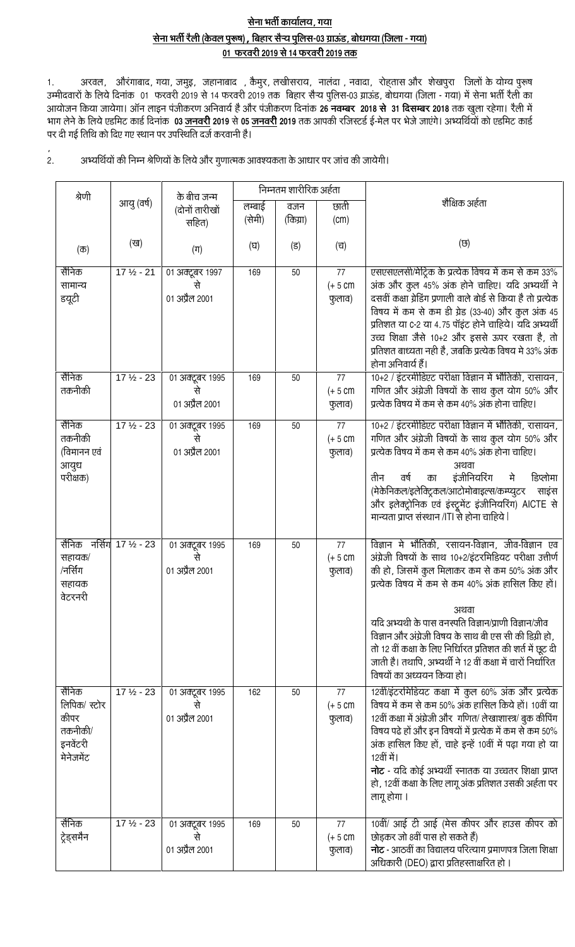## सेना भर्ती कार्यालय, गया सेना भर्ती रैली (केवल पुरूष), बिहार सैऱ्य पुलिस-03 ग्राऊंड, बोधगया (जिला - गया) 01 फरवरी 2019 से 14 फरवरी 2019 तक

1. अरवल, औरंगाबाद, गया, जमुइ, जहानाबाद , कैमुर, लखीसराय, नालंदा , नवादा, रोह्तास और शेखपुरा जिलों के योग्य पुरूष<br>उम्मीदवारों के लिये दिनांक 01 फरवरी 2019 से 14 फरवरी 2019 तक बिहार सैऱ्य पुलिस-03 पर दी गई तिथि को दिए गए स्थान पर उपस्थिति दर्ज करवानी है।

अभ्यर्थियों की निम्न श्रेणियों के लिये और गुणात्मक आवश्यकता के आधार पर जांच की जायेगी।  $2.$ 

|                                                                   | निम्नतम शारीरिक अर्हता<br>श्रेणी<br>के बीच जन्म |                                         |        |          |                            |                                                                                                                                                                                                                                                                                                                                                                                                                                                                                                        |
|-------------------------------------------------------------------|-------------------------------------------------|-----------------------------------------|--------|----------|----------------------------|--------------------------------------------------------------------------------------------------------------------------------------------------------------------------------------------------------------------------------------------------------------------------------------------------------------------------------------------------------------------------------------------------------------------------------------------------------------------------------------------------------|
|                                                                   | आयु (वर्ष)                                      | (दोनों तारीखो                           | लम्बाई | वजन      | छाती                       | शैक्षिक अर्हता                                                                                                                                                                                                                                                                                                                                                                                                                                                                                         |
|                                                                   |                                                 | सहित)                                   | (सेमी) | (किग्रा) | (cm)                       |                                                                                                                                                                                                                                                                                                                                                                                                                                                                                                        |
| $(\overline{\sigma})$                                             | (ख)                                             | $(\Pi)$                                 | (घ)    | (5)      | (च)                        | (छ)                                                                                                                                                                                                                                                                                                                                                                                                                                                                                                    |
| सैनिक<br>सामान्य<br>डयूटी                                         | $17\frac{1}{2} - 21$                            | 01 अक्टूबर 1997<br>01 अप्रैल 2001       | 169    | 50       | 77<br>$(+ 5 cm)$<br>फुलाव) | एसएसएलसी/मेट्रिक के प्रत्येक विषय में कम से कम 33%<br>अंक और कुल 45% अंक होने चाहिए। यदि अभ्यर्थी ने<br>दसवीं कक्षा ग्रेडिंग प्रणाली वाले बोर्ड से किया है तो प्रत्येक<br>विषय में कम से कम डी ग्रेड (33-40) और कुल अंक 45<br>प्रतिशत या C-2 या 4.75 पॉइंट होने चाहिये। यदि अभ्यर्थी<br>उच्च शिक्षा जैसे 10+2 और इससे ऊपर रखता है, तो<br>प्रतिशत बाध्यता नही है, जबकि प्रत्येक विषय मे 33% अंक<br>होना अनिवार्य हैं।                                                                                   |
| सैनिक<br>तकनीकी                                                   | $17\frac{1}{2} - 23$                            | 01 अक्टूबर 1995<br>01 अप्रैल 2001       | 169    | 50       | 77<br>$(+ 5 cm)$<br>फुलाव) | 10+2 / इंटरमीडिएट परीक्षा विज्ञान में भौतिकी, रासायन,<br>गणित और अंग्रेजी विषयों के साथ कुल योग 50% और<br>प्रत्येक विषय में कम से कम 40% अंक होना चाहिए।                                                                                                                                                                                                                                                                                                                                               |
| सैनिक<br>तकनीकी<br>(विमानन एवं<br>आयुध<br>परीक्षक)                | $17 \frac{1}{2} - 23$                           | 01 अक्टूबर 1995<br>से<br>01 अप्रैल 2001 | 169    | 50       | 77<br>$(+ 5 cm)$<br>फुलाव) | 10+2 / इंटरमीडिएट परीक्षा विज्ञान में भौतिकी, रासायन,<br>गणित और अंग्रेजी विषयों के साथ कुल योग 50% और<br>प्रत्येक विषय में कम से कम 40% अंक होना चाहिए।<br>अथवा<br>इंजीनियरिंग<br>ਰर्ष<br>तीन<br>मे<br>का<br>डिप्लोमा<br>(मेकेनिकल/इलेक्ट्रिकल/आटोमोबाइल्स/कम्प्युटर<br>साइंस<br>और इलेक्ट्रोनिक एवं इंस्ट्रूमेंट इंजीनियरिंग) AICTE से<br>मान्यता प्राप्त संस्थान /ITI से होना चाहिये                                                                                                                |
| सैनिक नर्सिंग 17 ½ - 23<br>सहायक/<br>/नर्सिंग<br>सहायक<br>वेटरनरी |                                                 | 01 अक्टूबर 1995<br>से<br>01 अप्रैल 2001 | 169    | 50       | 77<br>$(+ 5 cm)$<br>फुलाव) | विज्ञान मे भौतिकी, रसायन-विज्ञान, जीव-विज्ञान एव<br>अंग्रेजी विषयों के साथ 10+2/इंटरमिडियट परीक्षा उत्तीर्ण<br>की हो, जिसमें कुल मिलाकर कम से कम 50% अंक और<br>प्रत्येक विषय में कम से कम 40% अंक हासिल किए हों।<br>अथवा<br>यदि अभ्यथी के पास वनस्पति विज्ञान/प्राणी विज्ञान/जीव<br>विज्ञान और अंग्रेजी विषय के साथ बी एस सी की डिग्री हो,<br>तो 12 वीं कक्षा के लिए निर्धिारत प्रतिशत की शर्त में छूट दी<br>जाती है। तथापि, अभ्यर्थी ने 12 वीं कक्षा में चारों निर्धारित<br>विषयों का अध्ययन किया हो। |
| सैनिक<br>लिपिक/ स्टोर<br>कीपर<br>तकनीकी/<br>इनवेंटरी<br>मेनेजमेंट | $17\frac{1}{2} - 23$                            | 01 अक्टूबर 1995<br>से<br>01 अप्रैल 2001 | 162    | 50       | 77<br>$(+ 5 cm)$<br>फुलाव) | 12वीं/इंटरमिडियट कक्षा में कुल 60% अंक और प्रत्येक<br>विषय में कम से कम 50% अंक हासिल किये हों। 10वीं या<br>12वीं कक्षा में अंग्रेजी और गणित/ लेखाशास्त्र/ बुक कीपिंग<br>विषय पढे हों और इन विषयों में प्रत्येक में कम से कम 50%<br>अंक हासिल किए हों, चाहे इन्हें 10वीं में पढ़ा गया हो या<br>12वीं में।<br>नोट - यदि कोई अभ्यर्थी स्नातक या उच्चतर शिक्षा प्राप्त<br>हो, 12वीं कक्षा के लिए लागू अंक प्रतिशत उसकी अर्हता पर<br>लागू होगा ।                                                           |
| सैनिक<br>ट्रेड्समैन                                               | $17 \frac{1}{2} - 23$                           | 01 अक्टूबर 1995<br>01 अप्रैल 2001       | 169    | 50       | 77<br>$(+ 5 cm)$<br>फुलाव) | 10वीं/ आई टी आई (मेस कीपर और हाउस कीपर को<br>छोड़कर जो 8वीं पास हो सकते हैं)<br>नोट - आठवीं का विद्यालय परित्याग प्रमाणपत्र जिला शिक्षा<br>अधिकारी (DEO) द्वारा प्रतिहस्ताक्षरित हो ।                                                                                                                                                                                                                                                                                                                  |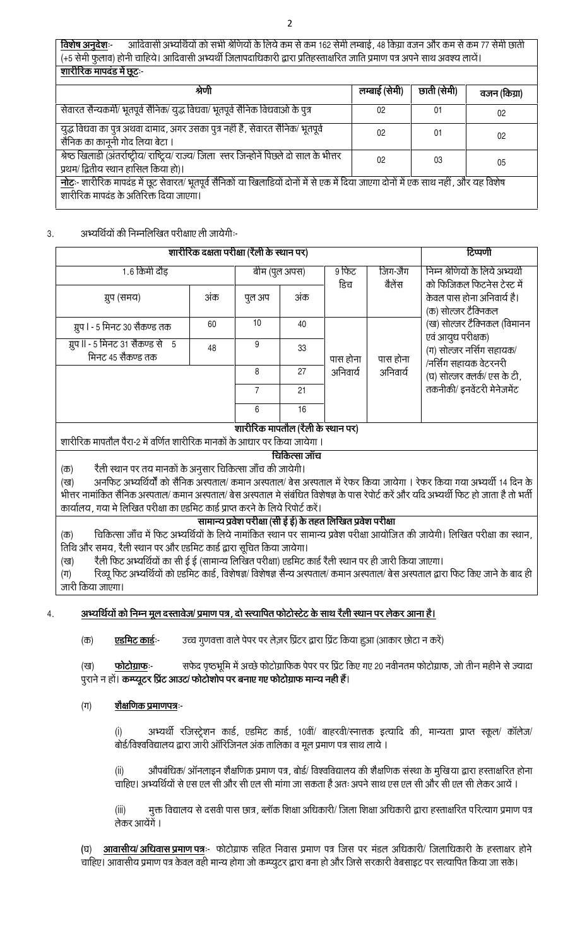आदिवासी अभ्यर्थियों को सभी श्रेणियों के लिये कम से कम 162 सेमी लम्बाई, 48 किग्रा वजन और कम से कम 77 सेमी छाती <u>विशेष अनुदेशः-</u> (+5 सेमी फुलाव) होनी चाहिये। आदिवासी अभ्यर्थी जिलापदाधिकारी द्वारा प्रतिहस्ताक्षरित जाति प्रमाण पत्र अपने साथ अवश्य लायें। शारीरिक मापदंड में छूट:-

| श्रेणी                                                                                                                                                                                  | लम्बाई (सेमी)  | छाती (सेमी) | वजन (किग्रा) |
|-----------------------------------------------------------------------------------------------------------------------------------------------------------------------------------------|----------------|-------------|--------------|
| सेवारत सैन्यकर्मी/ भूतपूर्व सैनिक/ युद्ध विधवा/ भूतपूर्व सैनिक विधवाओ के पुत्र                                                                                                          | 02             | 01          | 02           |
| युद्ध विधवा का पुत्र अथवा दामाद, अगर उसका पुत्र नहीं है, सेवारत सैनिक/ भूतपूर्व<br>सैनिक का कानूनी गोद लिया बेटा ।                                                                      | 02             | 01          | 02           |
| श्रेष्ठ खिलाडी (अंतर्राष्ट्रीय/ राष्ट्रिय/ राज्य/ जिला) स्तर जिन्होनें पिछले दो साल के भीत्तर<br>प्रथम/ द्वितीय स्थान हासिल किया हो)।                                                   | 0 <sup>2</sup> | 03          | 05           |
| <u>नोट</u> ः- शारीरिक मापदंड में छूट सेवारत/ भूतपूर्व सैनिकों या खिलाडियों दोनों में से एक में दिया जाएगा दोनों में एक साथ नहीं , और यह विशेष<br>शारीरिक मापदंड के अतिरिक्त दिया जाएगा। |                |             |              |

#### अभ्यर्थियों की निम्नलिखित परीक्षाए ली जायेगी:-3.

| शारीरिक दक्षता परीक्षा (रैली के स्थान पर)                                                                                                                                                                                                                  | टिप्पणी       |                                   |               |                  |                                                                |                                                                                                                       |  |
|------------------------------------------------------------------------------------------------------------------------------------------------------------------------------------------------------------------------------------------------------------|---------------|-----------------------------------|---------------|------------------|----------------------------------------------------------------|-----------------------------------------------------------------------------------------------------------------------|--|
| 1.6 किमी दौड                                                                                                                                                                                                                                               | बीम (पुल अपस) |                                   | 9 फिट<br>डिच  | जिग-जैग<br>बैलेस | निम्न श्रेणियों के लिये अभ्यर्थी<br>को फिजिकल फिटनेस टेस्ट में |                                                                                                                       |  |
| ग्रुप (समय)                                                                                                                                                                                                                                                | अंक           |                                   | अंक           |                  |                                                                | केवल पास होना अनिवार्य है।<br>(क) सोल्जर टैक्निकल                                                                     |  |
| ग्रुप । - 5 मिनट 30 सैकण्ड तक                                                                                                                                                                                                                              | 60            |                                   | 40            |                  |                                                                | (ख) सोल्जर टैक्निकल (विमानन                                                                                           |  |
| ग्रुप II - 5 मिनट 31 सैकण्ड से    5<br>मिनट 45 सैकण्ड तक                                                                                                                                                                                                   | 48            | 9                                 | 33            | पास होना         | पास होना                                                       | एवं आयुध परीक्षक)<br>(ग) सोल्जर नर्सिग सहायक/<br>/नर्सिंग सहायक वेटरनरी<br>(घ) सोल्जर क्लर्क/एस के टी,                |  |
|                                                                                                                                                                                                                                                            |               | 8                                 | 27            | अनिवार्य         | अनिवार्य                                                       |                                                                                                                       |  |
|                                                                                                                                                                                                                                                            |               | $\overline{7}$                    | 21            |                  |                                                                | तकनीकी/ इनवेंटरी मेनेजमेंट                                                                                            |  |
|                                                                                                                                                                                                                                                            |               |                                   | 16            |                  |                                                                |                                                                                                                       |  |
| शारीरिक मापतौल पैरा-2 में वर्णित शारीरिक मानकों के आधार पर किया जायेगा ।                                                                                                                                                                                   |               | शारीरिक मापतौल (रैली के स्थान पर) | चिकित्सा जाँच |                  |                                                                |                                                                                                                       |  |
| रैली स्थान पर तय मानकों के अनुसार चिकित्सा जाँच की जायेगी।<br>(क)                                                                                                                                                                                          |               |                                   |               |                  |                                                                |                                                                                                                       |  |
| (ख)                                                                                                                                                                                                                                                        |               |                                   |               |                  |                                                                | अनफिट अभ्यर्थियों को सैनिक अस्पताल/ कमान अस्पताल/ बेस अस्पताल में रेफर किया जायेगा । रेफर किया गया अभ्यर्थी 14 दिन के |  |
| भीत्तर नामांकित सैनिक अस्पताल/ कमान अस्पताल/ बेस अस्पताल मे संबंधित विशेषज्ञ के पास रेपोर्ट करें और यदि अभ्यर्थी फिट हो जाता है तो भर्ती<br>कार्यालय , गया मे लिखित परीक्षा का एडमिट कार्ड प्राप्त करने के लिये रिपोर्ट करें।                              |               |                                   |               |                  |                                                                |                                                                                                                       |  |
| सामान्य प्रवेश परीक्षा (सी ई ई) के तहत लिखित प्रवेश परीक्षा                                                                                                                                                                                                |               |                                   |               |                  |                                                                |                                                                                                                       |  |
| चिकित्सा जाँच में फिट अभ्यर्थियों के लिये नामांकित स्थान पर सामान्य प्रवेश परीक्षा आयोजित की जायेगी। लिखित परीक्षा का स्थान,<br>$(\overline{\Phi})$                                                                                                        |               |                                   |               |                  |                                                                |                                                                                                                       |  |
| तिथि और समय, रैली स्थान पर और एडमिट कार्ड द्वारा सूचित किया जायेगा।                                                                                                                                                                                        |               |                                   |               |                  |                                                                |                                                                                                                       |  |
| रैली फिट अभ्यर्थियों का सी ई ई (सामान्य लिखित परीक्षा) एडमिट कार्ड रैली स्थान पर ही जारी किया जाएगा।<br>(ख)<br>रिव्यू फिट अभ्यर्थियों को एडमिट कार्ड, विशेषज्ञ/ विशेषज्ञ सैन्य अस्पताल/ कमान अस्पताल/ बेस अस्पताल द्वारा फिट किए जाने के बाद ही<br>$(\Pi)$ |               |                                   |               |                  |                                                                |                                                                                                                       |  |

जारी किया जाएगा।

 $\overline{4}$ 

## अभ्यर्थियों को निम्न मूल दस्तावेज/ प्रमाण पत्र, दो स्त्यापित फोटोस्टेट के साथ रैली स्थान पर लेकर आना है।

<u>एडमिट कार्डः-</u> उच्च गुणवत्ता वाले पेपर पर लेज़र प्रिंटर द्वारा प्रिंट किया हुआ (आकार छोटा न करें)  $(\overline{\Phi})$ 

सफेद पृष्ठभूमि में अच्छे फोटोग्राफिक पेपर पर प्रिंट किए गए 20 नवीनतम फोटोग्राफ, जो तीन महीने से ज्यादा  $(3)$ फोटोग्राफः-पुराने न हों। कम्प्यूटर प्रिंट आउट/ फोटोशोप पर बनाए गए फोटोग्राफ मान्य नही हैं।

 $(T)$ <u>शैक्षणिक प्रमाणपत्रः</u>

> अभ्यर्थी रजिस्ट्रेशन कार्ड, एडमिट कार्ड, 10वीं/ बाहरवी/स्नात्तक इत्यादि की, मान्यता प्राप्त स्कूल/ कॉलेज/  $(i)$ बोर्ड/विश्वविद्यालय द्वारा जारी ऑरिजिनल अंक तालिका व मूल प्रमाण पत्र साथ लाये ।

> औपबंधिक/ ऑनलाइन शैक्षणिक प्रमाण पत्र, बोर्ड/ विश्वविद्यालय की शैक्षणिक संस्था के मुखिया द्वारा हस्ताक्षरित होना  $(ii)$ चाहिए। अभ्यर्थियों से एस एल सी और सी एल सी मांगा जा सकता है अतः अपने साथ एस एल सी और सी एल सी लेकर आयें ।

> मुक्त विद्यालय से दसवी पास छात्र, ब्लॉक शिक्षा अधिकारी/ जिला शिक्षा अधिकारी द्वारा हस्ताक्षरित परित्याग प्रमाण पत्र  $(iii)$ लेकर आयेंगे ।

(घ) आवासीय/अधिवास प्रमाण पत्रः- फोटोग्राफ सहित निवास प्रमाण पत्र जिस पर मंडल अधिकारी/ जिलाधिकारी के हस्ताक्षर होने चाहिए। आवासीय प्रमाण पत्र केवल वही मान्य होगा जो कम्प्युटर द्वारा बना हो और जिसे सरकारी वेबसाइट पर सत्यापित किया जा सके।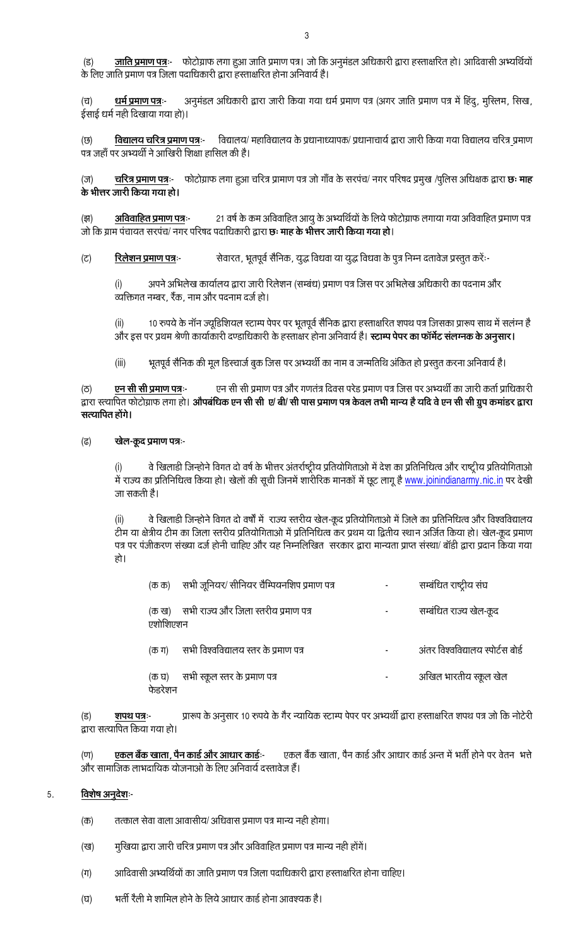<u>जाति प्रमाण पत्र</u>ः- फोटोग्राफ लगा हुआ जाति प्रमाण पत्र। जो कि अनुमंडल अधिकारी द्वारा हस्ताक्षरित हो। आदिवासी अभ्यर्थियों  $(5)$ के लिए जाति प्रमाण पत्र जिला पदाधिकारी द्वारा हस्ताक्षरित होना अनिवार्य है।

अनुमंडल अधिकारी द्वारा जारी किया गया धर्म प्रमाण पत्र (अगर जाति प्रमाण पत्र में हिंदु, मुस्लिम, सिख, धर्म प्रमाण पत्रः- $(\overline{u})$ ईसाई धर्म नही दिखाया गया हो)।

विद्यालय/ महाविद्यालय के प्रधानाध्यापक/ प्रधानाचार्य द्वारा जारी किया गया विद्यालय चरित्र प्रमाण <u>विद्यालय चरित्र प्रमाण पत्र</u>:-(छ) पत्र जहाँ पर अभ्यर्थी ने आखिरी शिक्षा हासिल की है।

चरित्र प्रमाण पत्रः- फोटोग्राफ लगा हुआ चरित्र प्रामाण पत्र जो गाँव के सरपंच/ नगर परिषद प्रमुख /पुलिस अधिक्षक द्वारा छः माह  $(\overline{\sigma})$ के भीत्तर जारी किया गया हो।

21 वर्ष के कम अविवाहित आयु के अभ्यर्थियों के लिये फोटोग्राफ लगाया गया अविवाहित प्रमाण पत्र  $($ झ) अविवाहित प्रमाण पत्र:-जो कि ग्राम पंचायत सरपंच/ नगर परिषद पदाधिकारी द्वारा **छः माह के भीत्तर जारी किया गया हो**।

 $(5)$ <u>रिलेशन प्रमाण पत्रः-</u> सेवारत, भूतपूर्व सैनिक, युद्ध विधवा या युद्ध विधवा के पुत्र निम्न दतावेज प्रस्तुत करें:-

अपने अभिलेख कार्यालय द्वारा जारी रिलेशन (सम्बंध) प्रमाण पत्र जिस पर अभिलेख अधिकारी का पदनाम और  $(i)$ व्यक्तिगत नम्बर, रैंक, नाम और पदनाम दर्ज हो।

10 रुपये के नॉन ज्यूडिशियल स्टाम्प पेपर पर भूतपूर्व सैनिक द्वारा हस्ताक्षरित शपथ पत्र जिसका प्रारूप साथ में सलंग्न है  $(ii)$ और इस पर प्रथम श्रेणी कार्याकारी दण्डाधिकारी के हस्ताक्षर होना अनिवार्य है। **स्टाम्प पेपर का फॉर्मेट संलग्नक के अनुसार।** 

 $(iii)$ भूतपूर्व सैनिक की मूल डिस्चार्ज बुक जिस पर अभ्यर्थी का नाम व जन्मतिथि अंकित हो प्रस्तुत करना अनिवार्य है।

एन सी सी प्रमाण पत्र और गणतंत्र दिवस परेड प्रमाण पत्र जिस पर अभ्यर्थी का जारी कर्ता प्राधिकारी एन सी सी प्रमाण पत्र:- $(5)$ द्वारा स्त्यापित फोटोग्राफ लगा हो। औपबंधिक एन सी सी ए/ बी/ सी पास प्रमाण पत्र केवल तभी मान्य है यदि वे एन सी सी ग्रुप कमांडर द्वारा सत्यापित होंगे।

#### खेल-कूद प्रमाण पत्रः- $(\overline{6})$

वे खिलाडी जिन्होने विगत दो वर्ष के भीत्तर अंतर्राष्ट्रीय प्रतियोगिताओ में देश का प्रतिनिधित्व और राष्ट्रीय प्रतियोगिताओ  $(i)$ में राज्य का प्रतिनिधित्व किया हो। खेलों की सूची जिनमें शारीरिक मानकों में छूट लागू है www.joinindianarmy.nic.in पर देखी जा सकती है।

वे खिलाडी जिन्होने विगत दो वर्षों में राज्य स्तरीय खेल-कूद प्रतियोगिताओ में जिले का प्रतिनिधित्व और विश्वविद्यालय  $(iii)$ टीम या क्षेत्रीय टीम का जिला स्तरीय प्रतियोगिताओ में प्रतिनिधित्व कर प्रथम या द्वितीय स्थान अर्जित किया हो। खेल-कूद प्रमाण पत्र पर पंजीकरण संख्या दर्ज होनी चाहिए और यह निम्नलिखित) सरकार द्वारा मान्यता प्राप्त संस्था/ बॉडी द्वारा प्रदान किया गया हो।

| (ক ক)             | सभी जूनियर/ सीनियर चैम्पियनशिप प्रमाण पत्र | सम्बंधित राष्ट्रीय संघ            |
|-------------------|--------------------------------------------|-----------------------------------|
| (क ख)<br>एशोशिएशन | सभी राज्य और जिला स्तरीय प्रमाण पत्र       | सम्बंधित राज्य खेल-कूद            |
| (क ग)             | सभी विश्वविद्यालय स्तर के प्रमाण पत्र      | अंतर विश्वविद्यालय स्पोर्टस बोर्ड |
| (क घ)<br>फेडरशन   | सभी स्कूल स्तर के प्रमाण पत्र              | अखिल भारतीय स्कूल खेल             |

प्रारूप के अनुसार 10 रुपये के गैर न्यायिक स्टाम्प पेपर पर अभ्यर्थी द्वारा हस्ताक्षरित शपथ पत्र जो कि नोटेरी शपथ पत्रः- $(5)$ द्वारा सत्यापित किया गया हो।

एकल बैंक खाता, पैन कार्ड और आधार कार्ड अन्त में भर्ती होने पर वेतन भत्ते <u>एकल बैंक खाता, पैन कार्ड और आधार कार्ड:-</u>  $(\overline{u})$ और सामाजिक लाभदायिक योजनाओ के लिए अनिवार्य दस्तावेज हैं।

#### विशेष अनूदेशः-5.

- $(\overline{\sigma})$ तत्काल सेवा वाला आवासीय/ अधिवास प्रमाण पत्र मान्य नही होगा।
- मुखिया द्वारा जारी चरित्र प्रमाण पत्र और अविवाहित प्रमाण पत्र मान्य नही होंगें। (ख)
- आदिवासी अभ्यर्थियों का जाति प्रमाण पत्र जिला पदाधिकारी द्वारा हस्ताक्षरित होना चाहिए।  $(\Pi)$
- भर्ती रैली मे शामिल होने के लिये आधार कार्ड होना आवश्यक है। (घ)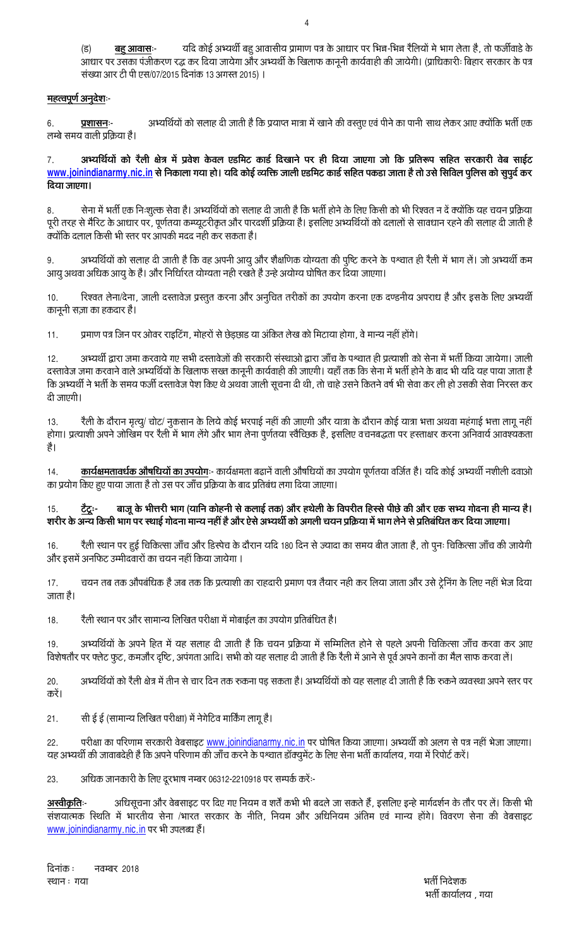यदि कोई अभ्यर्थी बहु आवासीय प्रामाण पत्र के आधार पर भिन्न-भिन्न रैलियों मे भाग लेता है, तो फर्जीवाडे के  $(5)$ <u>बहु आवासः-</u> आधार पर उसका पंजीकरण रद्ध कर दिया जायेगा और अभ्यर्थी के खिलाफ कानूनी कार्यवाही की जायेगी। (प्राधिकारी: बिहार सरकार के पत्र संख्या आर टी पी एस/07/2015 दिनांक 13 अगस्त 2015) ।

## <u>महत्वपूर्ण अनुदेशः-</u>

अभ्यर्थियों को सलाह दी जाती है कि प्रयाप्त मात्रा में खाने की वस्तुए एवं पीने का पानी साथ लेकर आए क्योंकि भर्ती एक 6. प्रशासनः-लम्बे समय वाली प्रक्रिया है।

अभ्यर्थियों को रैली क्षेत्र में प्रवेश केवल एडमिट कार्ड दिखाने पर ही दिया जाएगा जो कि प्रतिरूप सहित सरकारी वेब साईट 7. www.joinindianarmy.nic.in से निकाला गया हो। यदि कोई व्यक्ति जाली एडमिट कार्ड सहित पकडा जाता है तो उसे सिविल पुलिस को सुपुर्द कर दिया जाएगा।

सेना में भर्ती एक निःशुल्क सेवा है। अभ्यर्थियों को सलाह दी जाती है कि भर्ती होने के लिए किसी को भी रिश्वत न दें क्योंकि यह चयन प्रक्रिया  $\mathsf{R}$ पूरी तरह से मैरिट के आधार पर, पूर्णतया कम्प्यूटरीकृत और पारदर्शी प्रक्रिया है। इसलिए अभ्यर्थियों को दलालों से सावधान रहने की सलाह दी जाती है क्योंकि दलाल किसी भी स्तर पर आपकी मदद नही कर सकता है।

अभ्यर्थियों को सलाह दी जाती है कि वह अपनी आयु और शैक्षणिक योग्यता की पुष्टि करने के पश्चात ही रैली में भाग लें। जो अभ्यर्थी कम 9. आयु अथवा अधिक आयु के है। और निर्धिारत योग्यता नही रखते है उन्हे अयोग्य घोषित कर दिया जाएगा।

रिश्वत लेना/देना, जाली दस्तावेज प्रस्तुत करना और अनुचित तरीकों का उपयोग करना एक दण्डनीय अपराध है और इसके लिए अभ्यर्थी  $10.$ कानूनी सज़ा का हकदार है।

प्रमाण पत्र जिन पर ओवर राइटिंग, मोहरों से छेड़छाड या अंकित लेख को मिटाया होगा, वे मान्य नहीं होंगे।  $11.$ 

अभ्यर्थी द्वारा जमा करवाये गए सभी दस्तावेजों की सरकारी संस्थाओ द्वारा जाँच के पश्चात ही प्रत्याशी को सेना में भर्ती किया जायेगा। जाली  $12<sup>°</sup>$ दस्तावेज जमा करवाने वाले अभ्यर्थियों के खिलाफ सख्त कानूनी कार्यवाही की जाएगी। यहाँ तक कि सेना में भर्ती होने के बाद भी यदि यह पाया जाता है कि अभ्यर्थी ने भर्ती के समय फर्जी दस्तावेज पेश किए थे अथवा जाली सूचना दी थी, तो चाहे उसने कितने वर्ष भी सेवा कर ली हो उसकी सेवा निरस्त कर दी जाएगी।

रैली के दौरान मृत्यू/ चोट/ नुकसान के लिये कोई भरपाई नहीं की जाएगी और यात्रा के दौरान कोई यात्रा भत्ता अथवा महंगाई भत्ता लागू नहीं  $13.$ होगा। प्रत्याशी अपने जोखिम पर रैली में भाग लेंगे और भाग लेना पुर्णतया स्वैच्छिक है, इसलिए वचनबद्धता पर हस्ताक्षर करना अनिवार्य आवश्यकता है।

कार्यक्षमतावर्धक औषधियों का उपयोगः- कार्यक्षमता बढानें वाली औषधियों का उपयोग पूर्णतया वर्जित है। यदि कोई अभ्यर्थी नशीली दवाओ 14. का प्रयोग किए हुए पाया जाता है तो उस पर जाँच प्रक्रिया के बाद प्रतिबंध लगा दिया जाएगा।

बाजू के भीत्तरी भाग (यानि कोहनी से कलाई तक) और हथेली के विपरीत हिस्से पीछे की और एक सभ्य गोदना ही मान्य है। <u>टैंदूः-</u>  $15$ शरीर के अन्य किसी भाग पर स्थाई गोदना मान्य नहीं है और ऐसे अभ्यर्थी को अगली चयन प्रक्रिया में भाग लेने से प्रतिबंधित कर दिया जाएगा।

रैली स्थान पर हुई चिकित्सा जाँच और डिस्पेच के दौरान यदि 180 दिन से ज्यादा का समय बीत जाता है, तो पुनः चिकित्सा जाँच की जायेगी  $16.$ और इसमें अनफिट उम्मीदवारों का चयन नहीं किया जायेगा ।

चयन तब तक औपबंधिक है जब तक कि प्रत्याशी का राहदारी प्रमाण पत्र तैयार नही कर लिया जाता और उसे ट्रेनिंग के लिए नहीं भेज दिया 17. जाता है।

रैली स्थान पर और सामान्य लिखित परीक्षा में मोबाईल का उपयोग प्रतिबंधित है।  $18.$ 

अभ्यर्थियों के अपने हित में यह सलाह दी जाती है कि चयन प्रक्रिया में सम्मिलित होने से पहले अपनी चिकित्सा जाँच करवा कर आए  $19<sup>°</sup>$ विशेषतौर पर फ्लेट फूट, कमजौर दृष्टि, अपंगता आदि। सभी को यह सलाह दी जाती है कि रैली में आने से पूर्व अपने कानों का मैल साफ करवा लें।

अभ्यर्थियों को रैली क्षेत्र में तीन से चार दिन तक रुकना पड़ सकता है। अभ्यर्थियों को यह सलाह दी जाती है कि रुकने व्यवस्था अपने स्तर पर 20. करें।

सी ई ई (सामान्य लिखित परीक्षा) में नेगेटिव मार्किंग लागू है।  $21.$ 

परीक्षा का परिणाम सरकारी वेबसाइट www.joinindianarmy.nic.in पर घोषित किया जाएगा। अभ्यर्थी को अलग से पत्र नहीं भेजा जाएगा। 22 यह अभ्यर्थी की जावाबदेही है कि अपने परिणाम की जाँच करने के पश्चात डॉक्युमेंट के लिए सेना भर्ती कार्यालय, गया में रिपोर्ट करें।

23. अधिक जानकारी के लिए दूरभाष नम्बर 06312-2210918 पर सम्पर्क करें:-

अधिसूचना और वेबसाइट पर दिए गए नियम व शर्तें कभी भी बदले जा सकते हैं, इसलिए इन्हे मार्गदर्शन के तौर पर लें। किसी भी <u>अस्वीकृतिः</u> संशयात्मक स्थिति में भारतीय सेना /भारत सरकार के नीति, नियम और अधिनियम अंतिम एवं मान्य होंगे। विवरण सेना की वेबसाइट www.joinindianarmy.nic.in पर भी उपलब्ध हैं।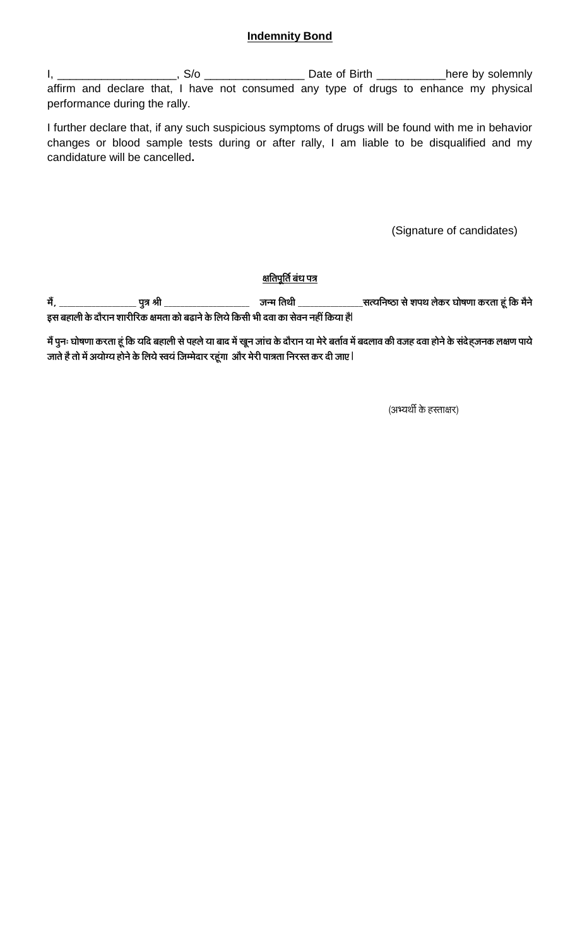## **Indemnity Bond**

I, \_\_\_\_\_\_\_\_\_\_\_\_\_\_\_\_\_\_\_\_\_, S/o \_\_\_\_\_\_\_\_\_\_\_\_\_\_\_\_\_\_\_\_\_\_\_ Date of Birth \_\_\_\_\_\_\_\_\_\_\_\_here by solemnly affirm and declare that, I have not consumed any type of drugs to enhance my physical performance during the rally.

I further declare that, if any such suspicious symptoms of drugs will be found with me in behavior changes or blood sample tests during or after rally, I am liable to be disqualified and my candidature will be cancelled**.**

(Signature of candidates)

## <u>क्षतिपूर्ति बंध पत्र</u>

**½ãö, \_\_\_\_\_\_\_\_\_\_\_\_\_\_\_\_\_\_\_ ¹ãì¨ã Ñããè \_\_\_\_\_\_\_\_\_\_\_\_\_\_\_\_\_\_\_\_\_ •ã¶½ã ãä¦ã©ããè \_\_\_\_\_\_\_\_\_\_\_\_\_\_\_\_Ô㦾ããä¶ãÓŸã Ôãñ Íã¹ã©ã Êãñ‡ãŠÀ ÜããñÓã¥ãã ‡ãŠÀ¦ãã Öîâ ãä‡ãŠ ½ãõ¶ãñ** इस बहाली के दौरान शारीरिक क्षमता को बढाने के लिये किसी भी दवा का सेवन नहीं किया है|

<u>मैं पु</u>नः घोषणा करता हूं कि यदि बहाली से पहले या बाद में खून जांच के दौरान या मेरे बर्ताव में बदलाव की वजह दवा होने के संदेहजनक लक्षण पाये **•ãã¦ãñ Öõ ¦ããñ ½ãò 'ã¾ããñؾã Öãñ¶ãñ ‡ãñŠ ãäÊã¾ãñ ÔÌã¾ãâ ãä•ã½½ãñªãÀ ÀÖîâØãã 'ããõÀ ½ãñÀãè ¹ãã¨ã¦ãã ãä¶ãÀԦ㠇ãŠÀ ªãè •ãㆠ|**

(अभ्यर्थी के हस्ताक्षर)